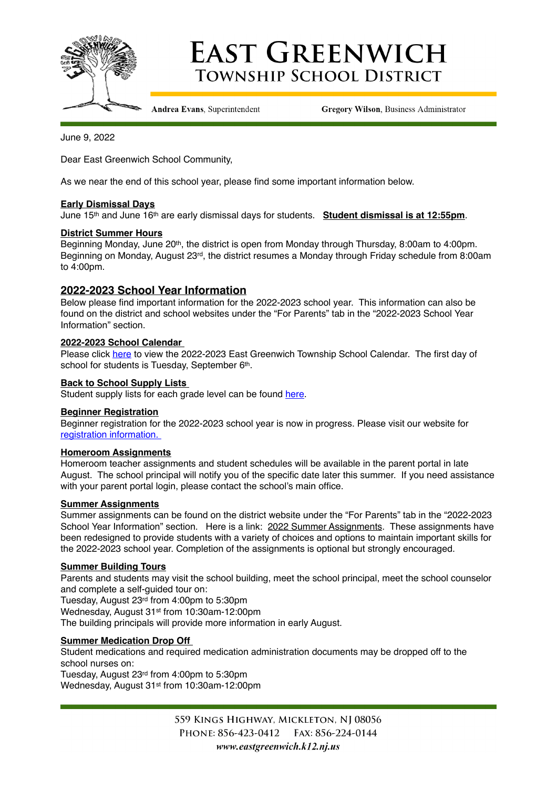

# **EAST GREENWICH TOWNSHIP SCHOOL DISTRICT**

Andrea Evans, Superintendent

**Gregory Wilson, Business Administrator** 

June 9, 2022

Dear East Greenwich School Community,

As we near the end of this school year, please find some important information below.

# **Early Dismissal Days**

June 15th and June 16th are early dismissal days for students. **Student dismissal is at 12:55pm**.

#### **District Summer Hours**

Beginning Monday, June 20th, the district is open from Monday through Thursday, 8:00am to 4:00pm. Beginning on Monday, August 23rd, the district resumes a Monday through Friday schedule from 8:00am to 4:00pm.

# **2022-2023 School Year Information**

Below please find important information for the 2022-2023 school year. This information can also be found on the district and school websites under the "For Parents" tab in the "2022-2023 School Year Information" section.

### **2022-2023 School Calendar**

Please click [here](https://www.eastgreenwich.k12.nj.us/cms/lib/NJ01912656/Centricity/ModuleInstance/4477/2022-2023%2520School%2520Year%2520Calendar%2520Board%2520approved%25202.16.22.pdf) to view the 2022-2023 East Greenwich Township School Calendar. The first day of school for students is Tuesday, September 6th.

### **Back to School Supply Lists**

Student supply lists for each grade level can be found [here.](https://www.eastgreenwich.k12.nj.us/Page/3710)

#### **Beginner Registration**

Beginner registration for the 2022-2023 school year is now in progress. Please visit our website for [registration information.](https://www.eastgreenwich.k12.nj.us/Page/3537) 

#### **Homeroom Assignments**

Homeroom teacher assignments and student schedules will be available in the parent portal in late August. The school principal will notify you of the specific date later this summer. If you need assistance with your parent portal login, please contact the school's main office.

#### **Summer Assignments**

Summer assignments can be found on the district website under the "For Parents" tab in the "2022-2023 School Year Information" section. Here is a link: [2022 Summer Assignments](https://www.eastgreenwich.k12.nj.us/Page/3711). These assignments have been redesigned to provide students with a variety of choices and options to maintain important skills for the 2022-2023 school year. Completion of the assignments is optional but strongly encouraged.

#### **Summer Building Tours**

Parents and students may visit the school building, meet the school principal, meet the school counselor and complete a self-guided tour on:

Tuesday, August 23rd from 4:00pm to 5:30pm

Wednesday, August 31st from 10:30am-12:00pm The building principals will provide more information in early August.

# **Summer Medication Drop Off**

Student medications and required medication administration documents may be dropped off to the school nurses on:

Tuesday, August 23rd from 4:00pm to 5:30pm Wednesday, August 31st from 10:30am-12:00pm

> 559 KINGS HIGHWAY, MICKLETON, NJ 08056 PHONE: 856-423-0412 FAX: 856-224-0144 www.eastgreenwich.k12.nj.us